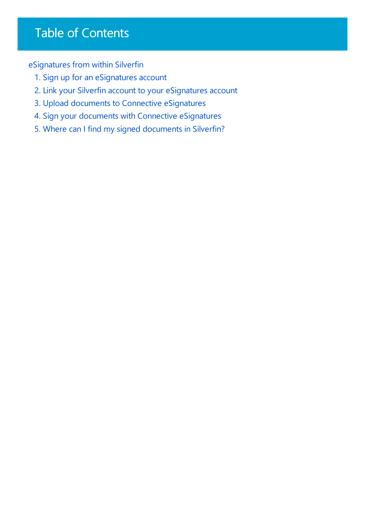## Table of Contents

### [eSignatures](javascript:void(0)) from within Silverfin

- 1. Sign up for an eSignatures account
- 2. Link your Silverfin account to your eSignatures account
- 3. Upload documents to Connective [eSignatures](#page-5-0)
- 4. Sign your documents with Connective [eSignatures](#page-9-0)
- 5. Where can I find my signed [documents](#page-11-0) in Silverfin?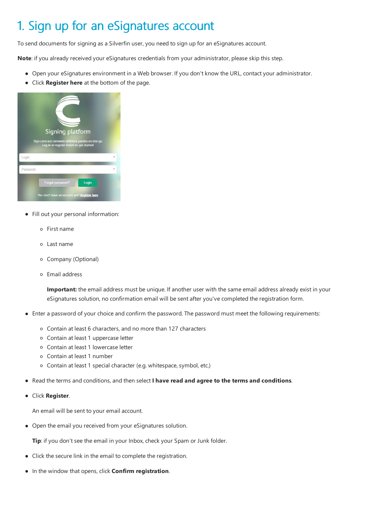## <span id="page-1-0"></span>1. Sign up for an eSignatures account

To send documents for signing as a Silverfin user, you need to sign up for an eSignatures account.

**Note**: if you already received your eSignatures credentials from your administrator, please skip this step.

- Open your eSignatures environment in a Web browser. If you don't know the URL, contact your administrator.
- Click **Register here** at the bottom of the page.



- Fill out your personal information:
	- First name
	- Last name
	- Company (Optional)
	- Email address

**Important:** the email address must be unique. If another user with the same email address already exist in your eSignatures solution, no confirmation email will be sent after you've completed the registration form.

- Enter a password of your choice and confirm the password. The password must meet the following requirements:
	- o Contain at least 6 characters, and no more than 127 characters
	- o Contain at least 1 uppercase letter
	- Contain at least 1 lowercaseletter
	- Contain at least 1 number
	- o Contain at least 1 special character (e.g. whitespace, symbol, etc.)
- Read theterms and conditions,and then select **I have read and agree to the terms and conditions**.
- Click **Register**.

An email will be sent to your email account.

• Open the email you received from your eSignatures solution.

**Tip**: if you don't see the email in your Inbox, check your Spam or Junk folder.

- $\bullet$  Click the secure link in the email to complete the registration.
- **•** In the window that opens, click **Confirm registration**.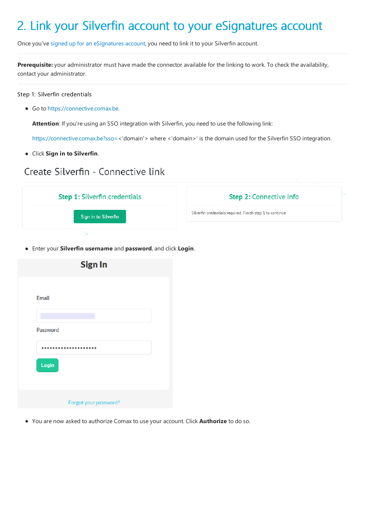## <span id="page-2-0"></span>2. Link your Silverfin account to your eSignatures account

Once you've signed up for an [eSignatures](#page-1-0) account, you need to link it to your Silverfin account.

**Prerequisite:** your administrator must have made the connector available for the linking to work. To check the availability, contact your administrator.

#### Step 1: Silverfin credentials

Go to <https://connective.comax.be>.

Attention: If you're using an SSO integration with Silverfin, you need to use the following link:

<https://connective.comax.be?sso=><'domain'> where <'domain>' is the domain used for the Silverfin SSO integration.

Click **Sign in to Silverfin**.

### Create Silverfin - Connective link



Enter your **Silverfin username** and **password**,and click **Login**.

|              | <b>Sign In</b>        |  |
|--------------|-----------------------|--|
|              |                       |  |
| <b>Email</b> |                       |  |
| Password     |                       |  |
|              |                       |  |
| Login        |                       |  |
|              |                       |  |
|              |                       |  |
|              | Forgot your password? |  |

You are now asked to authorize Comax to useyour account. Click **Authorize** to do so.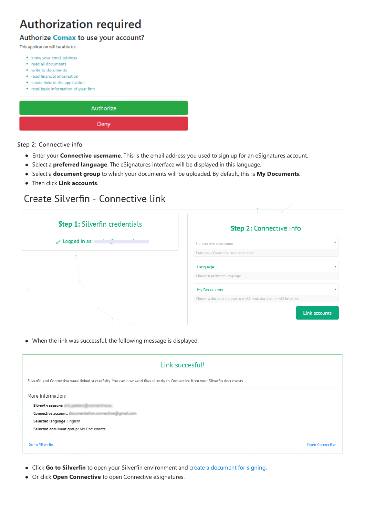### **Authorization required**

#### Authorize Comax to use your account?

This application will be able to:

- · know your email address
- · read all documents
- · write to documents
- · read financial information
- create links in the application
- · read basic information of your firm

| Authorize |
|-----------|
| Deny      |

Step 2: Connective info

- Enter your **Connective username**.This is theemail address you used to sign up for an eSignatures account.
- **Select a preferred language**. The eSignatures interface will be displayed in this language.
- Selecta **document group** to which your documents will be uploaded. By default, this is **My Documents**.
- Then click **Link accounts**.

### Create Silverfin - Connective link

| <b>Step 1: Silverfin credentials</b> | Step 2: Connective info                                       |
|--------------------------------------|---------------------------------------------------------------|
| $\checkmark$ Logged in as:           | Connective username                                           |
|                                      | Enter your Connective username here                           |
|                                      | Language                                                      |
|                                      | Choose a preferred language                                   |
|                                      | My Documents                                                  |
|                                      | Choose a document group to which your documents will be added |
|                                      | Link accounts                                                 |
|                                      |                                                               |

 $\bullet$  When the link was successful, the following message is displayed:

| Link succesful!                                                                                                                |                        |
|--------------------------------------------------------------------------------------------------------------------------------|------------------------|
| Silverfin and Connective were linked succesfully. You can now send files directly to Connective from your Silverfin documents. |                        |
| More information:                                                                                                              |                        |
| Silverfin account:                                                                                                             |                        |
| Connective account: documentation.connective@gmail.com                                                                         |                        |
| Selected language: English                                                                                                     |                        |
| Selected document group: My Documents                                                                                          |                        |
| Go to Silverfin<br>67 X L V                                                                                                    | <b>Open Connective</b> |

- **Click Go to Silverfin** to open your Silverfin environment and create a [document](#page-5-0) for signing.
- **Or click Open Connective** to open Connective eSignatures.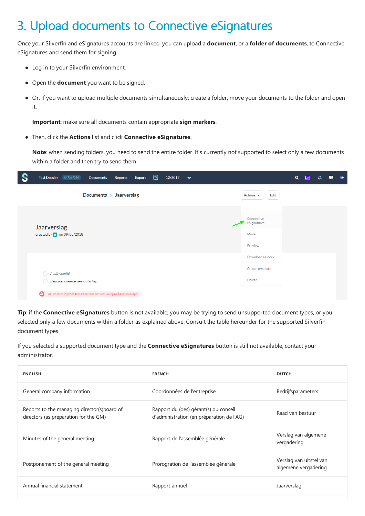## 3. Upload documents to Connective eSignatures

Onceyour Silverfin and eSignatures accounts arelinked,you can upload a **document**, or a **folder of documents**, to Connective eSignatures and send them for signing.

- Log in to your Silverfin environment.
- Open the **document** you want to be signed.
- Or, if you want to upload multiple documents simultaneously: create a folder, move your documents to the folder and open it.

**Important:** make sure all documents contain appropriate sign markers.

 $\bullet$  Then, click the **Actions** list and click **Connective eSignatures**.

**Note**: when sending folders, you need to send the entire folder. It's currently not supported to select only a few documents within a folder and then try to send them.

| С | ⊠<br>847269398<br><b>Test Dossier</b><br>12/2017<br><b>Documents</b><br>Reports<br>Export<br>$\checkmark$ |                                   | Q | er | Δ | 2 | $\bullet$ |
|---|-----------------------------------------------------------------------------------------------------------|-----------------------------------|---|----|---|---|-----------|
|   | Documents $\rightarrow$ Jaarverslag                                                                       | Edit<br>Actions $\star$           |   |    |   |   |           |
|   | <b>Jaarverslag</b><br>created by si on 09/08/2018                                                         | Connective<br>eSignatures<br>Move |   |    |   |   |           |
|   |                                                                                                           | Preview<br>Download as .docx      |   |    |   |   |           |
|   | Audit-comité<br>∩                                                                                         | Create template                   |   |    |   |   |           |
|   | Beursgenoteerde vennootschap                                                                              | <b>Delete</b>                     |   |    |   |   |           |
|   | Datum dient ingevuld te worden voor correcte weergave handtekeningen<br>(≙                                |                                   |   |    |   |   |           |

**Tip**: if the **Connective eSignatures** button is not available, you may be trying to send unsupported document types, or you selected only a few documents within a folder as explained above. Consult the table hereunder for the supported Silverfin document types.

If you selected a supported document type and the **Connective eSignatures** button is still not available, contact your administrator.

| <b>ENGLISH</b>                                                                        | <b>FRENCH</b>                                                                      | <b>DUTCH</b>                                    |
|---------------------------------------------------------------------------------------|------------------------------------------------------------------------------------|-------------------------------------------------|
| General company information                                                           | Coordonnées de l'entreprise                                                        | Bedrijfsparameters                              |
| Reports to the managing director(s) board of<br>directors (as preparation for the GM) | Rapport du (des) gérant(s) du conseil<br>d'administration (en préparation de l'AG) | Raad van bestuur                                |
| Minutes of the general meeting                                                        | Rapport de l'assemblée générale                                                    | Verslag van algemene<br>vergadering             |
| Postponement of the general meeting                                                   | Prorogration de l'assemblée générale                                               | Verslag van uitstel van<br>algemene vergadering |
| Annual financial statement                                                            | Rapport annuel                                                                     | Jaarverslag                                     |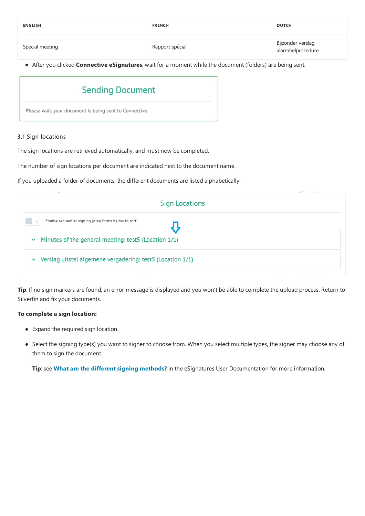<span id="page-5-0"></span>

| <b>ENGLISH</b>  | <b>FRENCH</b>   | <b>DUTCH</b>                           |
|-----------------|-----------------|----------------------------------------|
| Special meeting | Rapport spécial | Bijzonder verslag<br>alarmbelprocedure |

• After you clicked **Connective eSignatures**, wait for a moment while the document (folders) are being sent.



#### 3.1 Sign locations

The sign locations are retrieved automatically, and must now be completed.

The number of sign locations per document are indicated next to the document name.

If you uploaded a folder of documents, the different documents arelisted alphabetically.

| <b>Sign Locations</b>                                                      |  |
|----------------------------------------------------------------------------|--|
| Enable sequential signing (drag forms below to sort)                       |  |
| Minutes of the general meeting: test5 (Location 1/1)<br>$\checkmark$       |  |
| Verslag uitstel algemene vergadering: test5 (Location 1/1)<br>$\checkmark$ |  |

Tip: If no sign markers are found, an error message is displayed and you won't be able to complete the upload process. Return to Silverfin and fix your documents.

#### **To complete a sign location:**

- $\bullet$  Expand the required sign location.
- Select the signing type(s) you want to signer to choose from. When you select multiple types, the signer may choose any of them to sign the document.

**Tip**: see **What are the different signing [methods?](https://documentation.connective.eu/en-us/eSignatures5.4/SigningMethods.html)** in theeSignatures User Documentation for moreinformation.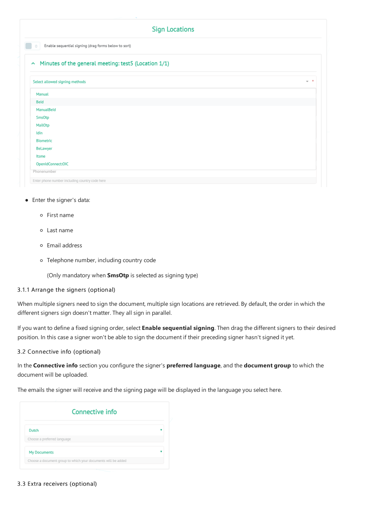| Enable sequential signing (drag forms below to sort)<br>$\sim$ Minutes of the general meeting: test5 (Location 1/1)<br>Select allowed signing methods<br>Manual<br>Beld<br>ManualBeld<br>SmsOtp<br>MailOtp<br>Idin<br>Biometric |     |
|---------------------------------------------------------------------------------------------------------------------------------------------------------------------------------------------------------------------------------|-----|
|                                                                                                                                                                                                                                 |     |
|                                                                                                                                                                                                                                 |     |
|                                                                                                                                                                                                                                 | - * |
|                                                                                                                                                                                                                                 |     |
|                                                                                                                                                                                                                                 |     |
|                                                                                                                                                                                                                                 |     |
|                                                                                                                                                                                                                                 |     |
|                                                                                                                                                                                                                                 |     |
|                                                                                                                                                                                                                                 |     |
|                                                                                                                                                                                                                                 |     |
| BeLawyer                                                                                                                                                                                                                        |     |
| Itsme                                                                                                                                                                                                                           |     |
| OpenIdConnect:OIC                                                                                                                                                                                                               |     |
| Phonenumber                                                                                                                                                                                                                     |     |

- Enter the signer's data:
	- First name
	- Last name
	- o Fmail address
	- Telephone number, including country code

(Only mandatory when **SmsOtp** is selected as signing type)

#### 3.1.1 Arrange the signers (optional)

When multiple signers need to sign the document, multiple sign locations are retrieved. By default, the order in which the different signers sign doesn't matter. They all sign in parallel.

If you want to definea fixed signing order, select**Enable sequential signing**.Then drag the different signers to their desired position. In this case a signer won't be able to sign the document if their preceding signer hasn't signed it yet.

#### 3.2 Connective info (optional)

In the **Connective info** section you configure the signer's **preferred language**, and the **document group** to which the document will be uploaded.

The emails the signer will receive and the signing page will be displayed in the language you select here.

|                             | Connective info                                               |  |
|-----------------------------|---------------------------------------------------------------|--|
| Dutch                       |                                                               |  |
| Choose a preferred language |                                                               |  |
| My Documents                |                                                               |  |
|                             | Choose a document group to which your documents will be added |  |

#### 3.3 Extra receivers (optional)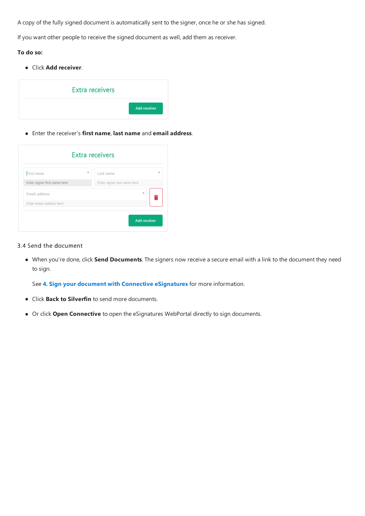A copy of the fully signed document is automatically sent to the signer, once he or she has signed.

If you want other people to receive the signed document as well, add them as receiver.

#### **To do so:**

Click **Add receiver**.

| <b>Extra receivers</b> |                     |
|------------------------|---------------------|
|                        | <b>Add receiver</b> |

Enter thereceiver's **first name**, **last name** and **email address**.

| First name                   | ٠ | ٠<br>Last name              |
|------------------------------|---|-----------------------------|
| Enter signer first name here |   | Enter signer last name here |
| Email address                |   | w                           |
| Enter email address here     |   |                             |

#### 3.4 Send the document

 $\bullet$  When you're done, click **Send Documents**. The signers now receive a secure email with a link to the document they need to sign.

See **4. Sign your document with Connective [eSignatures](#page-9-0)** for moreinformation.

- Click **Back to Silverfin** to send more documents.
- **•** Or click **Open Connective** to open the eSignatures WebPortal directly to sign documents.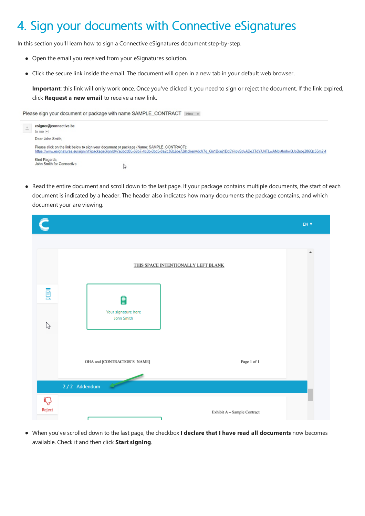# 4. Sign your documents with Connective eSignatures

In this section you'll learn how to sign a Connective eSignatures document step-by-step.

- Open the email you received from your eSignatures solution.
- Click the secure link inside the email. The document will open in a new tab in your default web browser.

Important: this link will only work once. Once you've clicked it, you need to sign or reject the document. If the link expired, click **Request a new email** to receivea new link.

Please sign your document or package with name SAMPLE CONTRACT Inbox x

| $\sim$ | esigner@connective.be<br>to me $-$                                                       |                                                                                                                                                               |
|--------|------------------------------------------------------------------------------------------|---------------------------------------------------------------------------------------------------------------------------------------------------------------|
|        | Dear John Smith.                                                                         |                                                                                                                                                               |
|        | Please click on the link below to sign your document or package (Name: SAMPLE CONTRACT): | https://www.esignatures.eu/signinit?packageSignId=7a6bdd06-59b7-4c8b-8bd5-0a2c36b2de72&token=dcV7g Gn1Bgui1Dc5Y-lpySdyADo3TdYiU4TLwANbv0mhwBJoBrpg286Qc55m2j4 |
|        | Kind Regards,<br>John Smith for Connective                                               |                                                                                                                                                               |

• Read the entire document and scroll down to the last page. If your package contains multiple documents, the start of each document is indicated by a header. The header also indicates how many documents the package contains, and which document your are viewing.



When you'vescrolled down to thelast page, thecheckbox **I declare that I have read all documents** now becomes available. Check itand then click **Start signing**.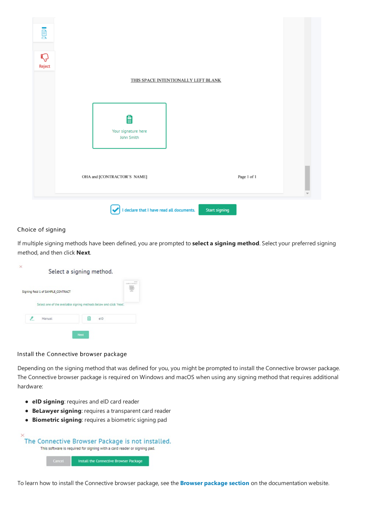<span id="page-9-0"></span>

| $\mathbb Q$<br>Reject<br>THIS SPACE INTENTIONALLY LEFT BLANK<br>ਉ<br>Your signature here<br>John Smith | 目 |  |
|--------------------------------------------------------------------------------------------------------|---|--|
|                                                                                                        |   |  |
|                                                                                                        |   |  |
|                                                                                                        |   |  |
| OHA and [CONTRACTOR'S NAME]<br>Page 1 of 1                                                             |   |  |

#### Choice of signing

If multiplesigning methods have been defined,you are prompted to **select a signing method**.Selectyour preferred signing method,and then click **Next**.

| Select a signing method.                                            |  |   |
|---------------------------------------------------------------------|--|---|
| Signing field 1 of SAMPLE_CONTRACT                                  |  | ≣ |
|                                                                     |  |   |
| Select one of the available signing methods below and click 'Next'. |  |   |

#### Install the Connective browser package

Depending on the signing method that was defined for you, you might be prompted to install the Connective browser package. The Connective browser package is required on Windows and macOS when using any signing method that requires additional hardware:

- **eID signing**: requires and eID card reader
- **BeLawyer signing**: requires a transparent card reader
- **Biometric signing**: requires a biometric signing pad



To learn how to install the Connective browser package, seethe **Browser [package](file:///C:/Users/david.gillard/Desktop/DFM/connective/_site/_site/BrowserPackage2.0.6/ConnectiveBrowserPackage.html) section** on the documentation website.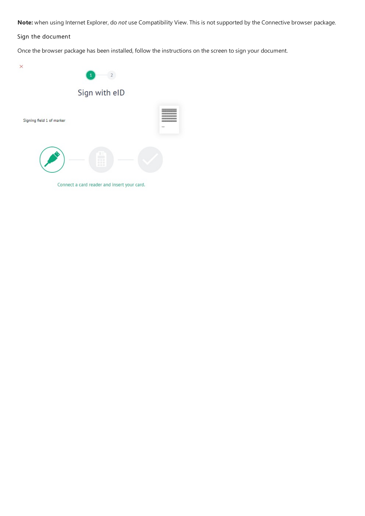**Note:** when using Internet Explorer, do *not* use Compatibility View. This is not supported by the Connective browser package.

#### Sign the document

Once the browser package has been installed, follow the instructions on the screen to sign your document.